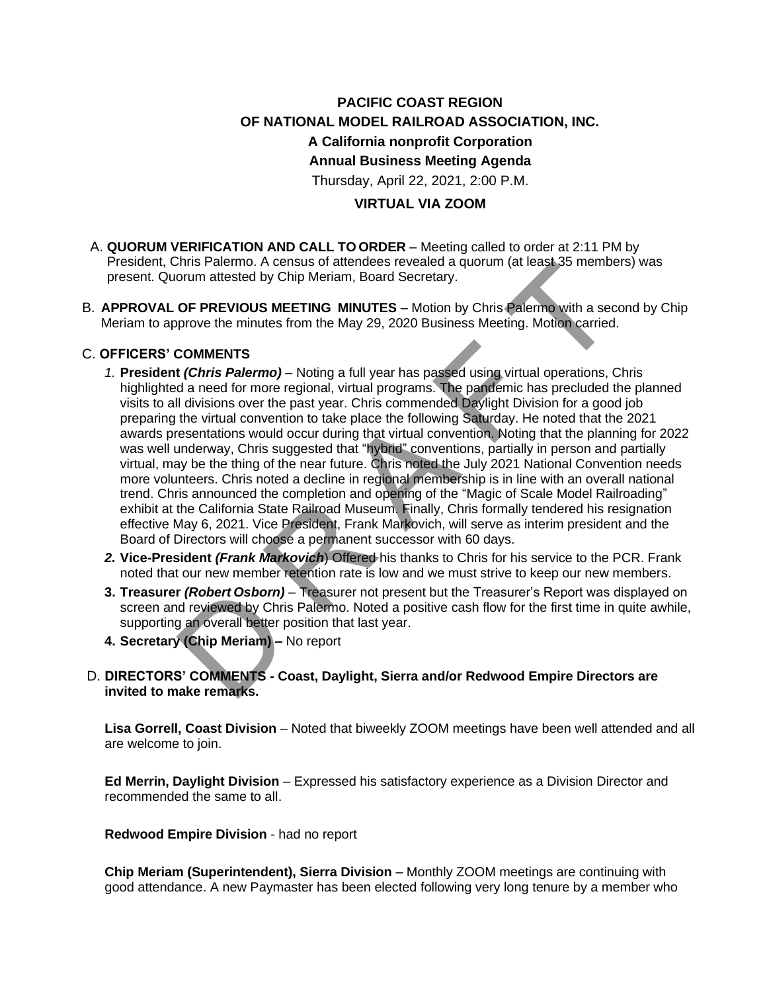# **PACIFIC COAST REGION OF NATIONAL MODEL RAILROAD ASSOCIATION, INC. A California nonprofit Corporation Annual Business Meeting Agenda**

Thursday, April 22, 2021, 2:00 P.M.

# **VIRTUAL VIA ZOOM**

- A. **QUORUM VERIFICATION AND CALL TO ORDER** Meeting called to order at 2:11 PM by President, Chris Palermo. A census of attendees revealed a quorum (at least 35 members) was present. Quorum attested by Chip Meriam, Board Secretary.
- B. **APPROVAL OF PREVIOUS MEETING MINUTES** Motion by Chris Palermo with a second by Chip Meriam to approve the minutes from the May 29, 2020 Business Meeting. Motion carried.

# C. **OFFICERS' COMMENTS**

- This Palermo. A census of attendees revealed a quotum (at least 35 members) was<br>norum attested by Chip Meriam, Board Secretary.<br>OF PREVIOUS MEETING MINUTES Motion by Chris Palermo with a second b<br>prove the minutes from t *1.* **President** *(Chris Palermo)* – Noting a full year has passed using virtual operations, Chris highlighted a need for more regional, virtual programs. The pandemic has precluded the planned visits to all divisions over the past year. Chris commended Daylight Division for a good job preparing the virtual convention to take place the following Saturday. He noted that the 2021 awards presentations would occur during that virtual convention. Noting that the planning for 2022 was well underway, Chris suggested that "hybrid" conventions, partially in person and partially virtual, may be the thing of the near future. Chris noted the July 2021 National Convention needs more volunteers. Chris noted a decline in regional membership is in line with an overall national trend. Chris announced the completion and opening of the "Magic of Scale Model Railroading" exhibit at the California State Railroad Museum. Finally, Chris formally tendered his resignation effective May 6, 2021. Vice President, Frank Markovich, will serve as interim president and the Board of Directors will choose a permanent successor with 60 days.
- *2.* **Vice-President** *(Frank Markovich*) Offered his thanks to Chris for his service to the PCR. Frank noted that our new member retention rate is low and we must strive to keep our new members.
- **3. Treasurer** *(Robert Osborn) –* Treasurer not present but the Treasurer's Report was displayed on screen and reviewed by Chris Palermo. Noted a positive cash flow for the first time in quite awhile, supporting an overall better position that last year.
- **4. Secretary (Chip Meriam) –** No report

# D. **DIRECTORS' COMMENTS - Coast, Daylight, Sierra and/or Redwood Empire Directors are invited to make remarks.**

**Lisa Gorrell, Coast Division** – Noted that biweekly ZOOM meetings have been well attended and all are welcome to join.

**Ed Merrin, Daylight Division** – Expressed his satisfactory experience as a Division Director and recommended the same to all.

**Redwood Empire Division** - had no report

**Chip Meriam (Superintendent), Sierra Division** – Monthly ZOOM meetings are continuing with good attendance. A new Paymaster has been elected following very long tenure by a member who